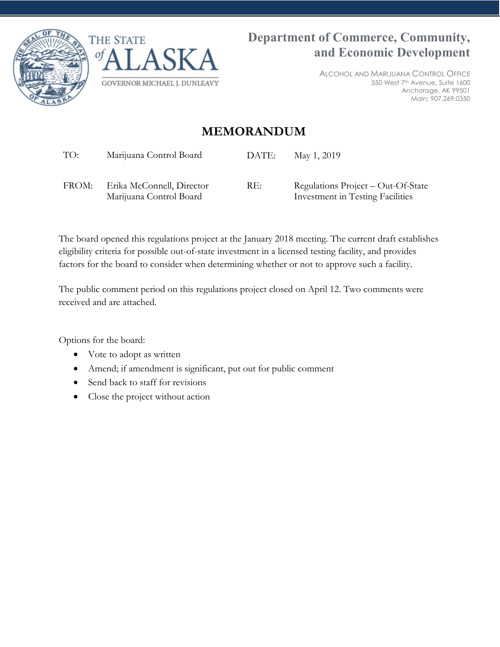



ALCOHOL AND MARIJUANA CONTROL OFFICE 550 West 7th Avenue, Suite 1600 Anchorage, AK 99501 Main: 907.269.0350

## **MEMORANDUM**

| TO: | Marijuana Control Board | DATE: May 1, 2019 |
|-----|-------------------------|-------------------|
|     |                         |                   |

FROM: Erika McConnell, Director Marijuana Control Board RE: Regulations Project – Out-Of-State Investment in Testing Facilities

The board opened this regulations project at the January 2018 meeting. The current draft establishes eligibility criteria for possible out-of-state investment in a licensed testing facility, and provides factors for the board to consider when determining whether or not to approve such a facility.

The public comment period on this regulations project closed on April 12. Two comments were received and are attached.

Options for the board:

- Vote to adopt as written
- Amend; if amendment is significant, put out for public comment
- Send back to staff for revisions
- Close the project without action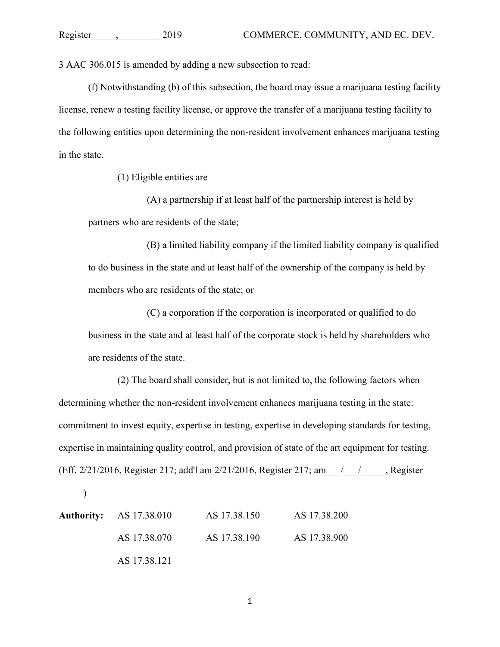3 AAC 306.015 is amended by adding a new subsection to read:

(f) Notwithstanding (b) of this subsection, the board may issue a marijuana testing facility license, renew a testing facility license, or approve the transfer of a marijuana testing facility to the following entities upon determining the non-resident involvement enhances marijuana testing in the state.

(1) Eligible entities are

(A) a partnership if at least half of the partnership interest is held by partners who are residents of the state;

(B) a limited liability company if the limited liability company is qualified to do business in the state and at least half of the ownership of the company is held by members who are residents of the state; or

(C) a corporation if the corporation is incorporated or qualified to do business in the state and at least half of the corporate stock is held by shareholders who are residents of the state.

(2) The board shall consider, but is not limited to, the following factors when determining whether the non-resident involvement enhances marijuana testing in the state: commitment to invest equity, expertise in testing, expertise in developing standards for testing, expertise in maintaining quality control, and provision of state of the art equipment for testing. (Eff. 2/21/2016, Register 217; add'l am 2/21/2016, Register 217; am\_\_\_/\_\_\_/\_\_\_\_\_, Register

 $\Box$ 

| <b>Authority:</b> AS 17.38.010 | AS 17.38.150 | AS 17.38.200 |
|--------------------------------|--------------|--------------|
| AS 17.38.070                   | AS 17.38.190 | AS 17.38.900 |
| AS 17.38.121                   |              |              |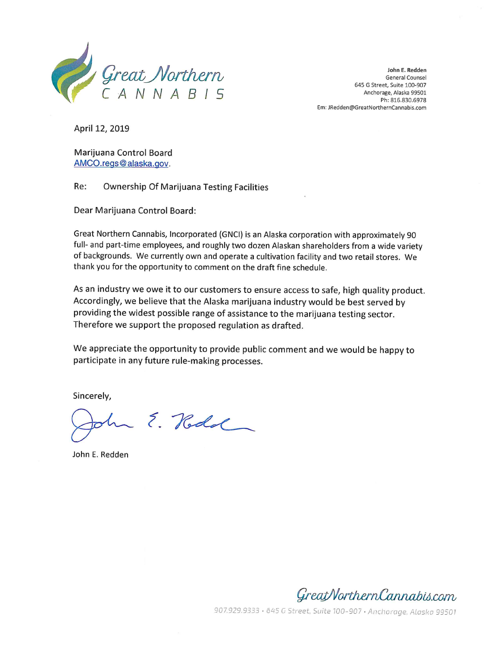

John E. Redden General Counsel 645 G Street, Suite 100-907 Anchorage, Alaska 99501 Ph: 816.830.6978 Em: JRedden@GreatNorthernCannabis.com

April 12, 2019

Marijuana Control Board AMCO.regs@alaska.gov.

Re: **Ownership Of Marijuana Testing Facilities** 

Dear Marijuana Control Board:

Great Northern Cannabis, Incorporated (GNCI) is an Alaska corporation with approximately 90 full- and part-time employees, and roughly two dozen Alaskan shareholders from a wide variety of backgrounds. We currently own and operate a cultivation facility and two retail stores. We thank you for the opportunity to comment on the draft fine schedule.

As an industry we owe it to our customers to ensure access to safe, high quality product. Accordingly, we believe that the Alaska marijuana industry would be best served by providing the widest possible range of assistance to the marijuana testing sector. Therefore we support the proposed regulation as drafted.

We appreciate the opportunity to provide public comment and we would be happy to participate in any future rule-making processes.

Sincerely,

In E. Rodd

John E. Redden



907.929.9333 · 645 G Street, Suite 100-907 · Anchorage, Alaska 99501